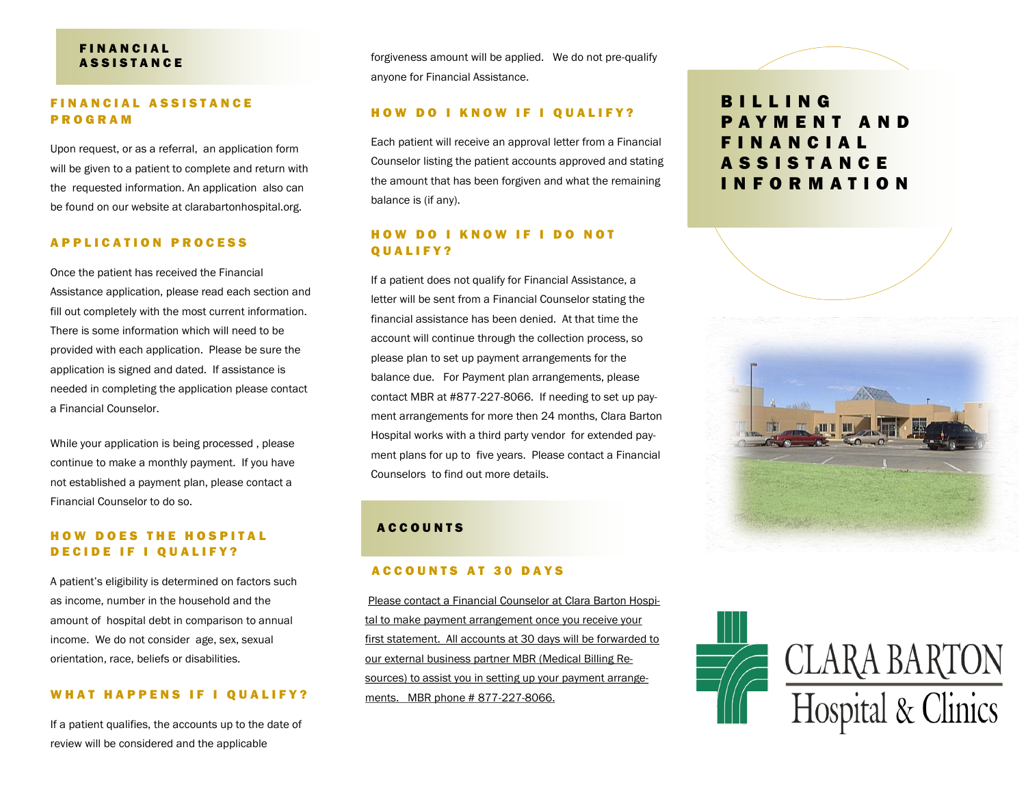# **FINANCIAL ASSISTANCE**

# FINANCIAL ASSISTANCE P R O G R A M

Upon request, or as a referral, an application form will be given to a patient to complete and return with the requested information. An application also can be found on our website at clarabartonhospital.org.

#### A P P L I C A T I O N P R O C E S S

Once the patient has received the Financial Assistance application, please read each section and fill out completely with the most current information. There is some information which will need to be provided with each application. Please be sure the application is signed and dated. If assistance is needed in completing the application please contact a Financial Counselor.

While your application is being processed , please continue to make a monthly payment. If you have not established a payment plan, please contact a Financial Counselor to do so.

# **HOW DOES THE HOSPITAL** DECIDE IF I QUALIFY?

A patient's eligibility is determined on factors such as income, number in the household and the amount of hospital debt in comparison to annual income. We do not consider age, sex, sexual orientation, race, beliefs or disabilities.

#### WHAT HAPPENS IF I QUALIFY?

If a patient qualifies, the accounts up to the date of review will be considered and the applicable

forgiveness amount will be applied. We do not pre-qualify anyone for Financial Assistance.

#### HOW DO I KNOW IF I QUALIFY?

Each patient will receive an approval letter from a Financial Counselor listing the patient accounts approved and stating the amount that has been forgiven and what the remaining balance is (if any).

## HOW DO I KNOW IF I DO NOT Q U A L I F Y ?

If a patient does not qualify for Financial Assistance, a letter will be sent from a Financial Counselor stating the financial assistance has been denied. At that time the account will continue through the collection process, so please plan to set up payment arrangements for the balance due. For Payment plan arrangements, please contact MBR at #877-227-8066. If needing to set up payment arrangements for more then 24 months, Clara Barton Hospital works with a third party vendor for extended payment plans for up to five years. Please contact a Financial Counselors to find out more details.

# **ACCOUNTS**

#### A C C O U N T S A T 30 D A Y S

Please contact a Financial Counselor at Clara Barton Hospital to make payment arrangement once you receive your first statement. All accounts at 30 days will be forwarded to our external business partner MBR (Medical Billing Resources) to assist you in setting up your payment arrangements. MBR phone # 877-227-8066.

# B I L L I N G P A Y M E N T A N D F I N A N C I A L A S S I S T A N C E I N F O R M A T I O N